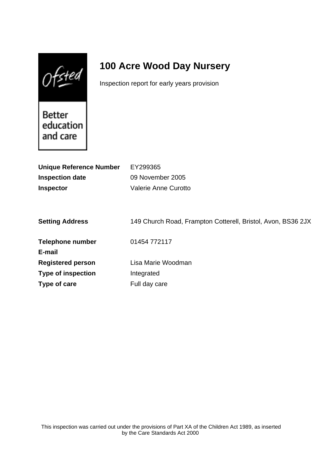$0$ fsted

# **100 Acre Wood Day Nursery**

Inspection report for early years provision

Better education and care

| <b>Unique Reference Number</b> | EY299365                                                     |
|--------------------------------|--------------------------------------------------------------|
| <b>Inspection date</b>         | 09 November 2005                                             |
| <b>Inspector</b>               | Valerie Anne Curotto                                         |
|                                |                                                              |
|                                |                                                              |
| <b>Setting Address</b>         | 149 Church Road, Frampton Cotterell, Bristol, Avon, BS36 2JX |
|                                |                                                              |
| <b>Telephone number</b>        | 01454 772117                                                 |
| E-mail                         |                                                              |
| <b>Registered person</b>       | Lisa Marie Woodman                                           |
| <b>Type of inspection</b>      | Integrated                                                   |
| Type of care                   | Full day care                                                |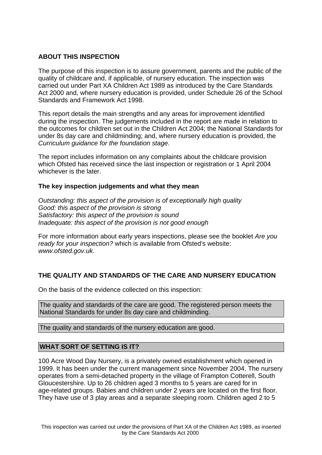## **ABOUT THIS INSPECTION**

The purpose of this inspection is to assure government, parents and the public of the quality of childcare and, if applicable, of nursery education. The inspection was carried out under Part XA Children Act 1989 as introduced by the Care Standards Act 2000 and, where nursery education is provided, under Schedule 26 of the School Standards and Framework Act 1998.

This report details the main strengths and any areas for improvement identified during the inspection. The judgements included in the report are made in relation to the outcomes for children set out in the Children Act 2004; the National Standards for under 8s day care and childminding; and, where nursery education is provided, the Curriculum guidance for the foundation stage.

The report includes information on any complaints about the childcare provision which Ofsted has received since the last inspection or registration or 1 April 2004 whichever is the later.

## **The key inspection judgements and what they mean**

Outstanding: this aspect of the provision is of exceptionally high quality Good: this aspect of the provision is strong Satisfactory: this aspect of the provision is sound Inadequate: this aspect of the provision is not good enough

For more information about early years inspections, please see the booklet Are you ready for your inspection? which is available from Ofsted's website: www.ofsted.gov.uk.

# **THE QUALITY AND STANDARDS OF THE CARE AND NURSERY EDUCATION**

On the basis of the evidence collected on this inspection:

The quality and standards of the care are good. The registered person meets the National Standards for under 8s day care and childminding.

The quality and standards of the nursery education are good.

## **WHAT SORT OF SETTING IS IT?**

100 Acre Wood Day Nursery, is a privately owned establishment which opened in 1999. It has been under the current management since November 2004. The nursery operates from a semi-detached property in the village of Frampton Cotterell, South Gloucestershire. Up to 26 children aged 3 months to 5 years are cared for in age-related groups. Babies and children under 2 years are located on the first floor. They have use of 3 play areas and a separate sleeping room. Children aged 2 to 5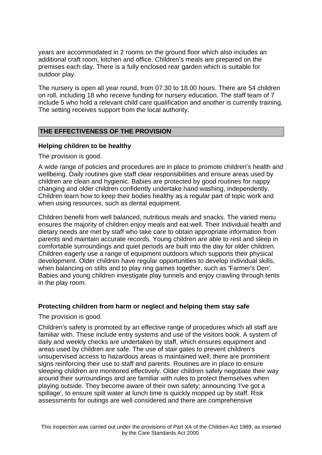years are accommodated in 2 rooms on the ground floor which also includes an additional craft room, kitchen and office. Children's meals are prepared on the premises each day. There is a fully enclosed rear garden which is suitable for outdoor play.

The nursery is open all year round, from 07.30 to 18.00 hours. There are 54 children on roll, including 18 who receive funding for nursery education. The staff team of 7 include 5 who hold a relevant child care qualification and another is currently training. The setting receives support from the local authority.

## **THE EFFECTIVENESS OF THE PROVISION**

## **Helping children to be healthy**

The provision is good.

A wide range of policies and procedures are in place to promote children's health and wellbeing. Daily routines give staff clear responsibilities and ensure areas used by children are clean and hygienic. Babies are protected by good routines for nappy changing and older children confidently undertake hand washing, independently. Children learn how to keep their bodies healthy as a regular part of topic work and when using resources, such as dental equipment.

Children benefit from well balanced, nutritious meals and snacks. The varied menu ensures the majority of children enjoy meals and eat well. Their individual health and dietary needs are met by staff who take care to obtain appropriate information from parents and maintain accurate records. Young children are able to rest and sleep in comfortable surroundings and quiet periods are built into the day for older children. Children eagerly use a range of equipment outdoors which supports their physical development. Older children have regular opportunities to develop individual skills, when balancing on stilts and to play ring games together, such as 'Farmer's Den'. Babies and young children investigate play tunnels and enjoy crawling through tents in the play room.

## **Protecting children from harm or neglect and helping them stay safe**

The provision is good.

Children's safety is promoted by an effective range of procedures which all staff are familiar with. These include entry systems and use of the visitors book. A system of daily and weekly checks are undertaken by staff, which ensures equipment and areas used by children are safe. The use of stair gates to prevent children's unsupervised access to hazardous areas is maintained well; there are prominent signs reinforcing their use to staff and parents. Routines are in place to ensure sleeping children are monitored effectively. Older children safely negotiate their way around their surroundings and are familiar with rules to protect themselves when playing outside. They become aware of their own safety; announcing 'I've got a spillage', to ensure spilt water at lunch time is quickly mopped up by staff. Risk assessments for outings are well considered and there are comprehensive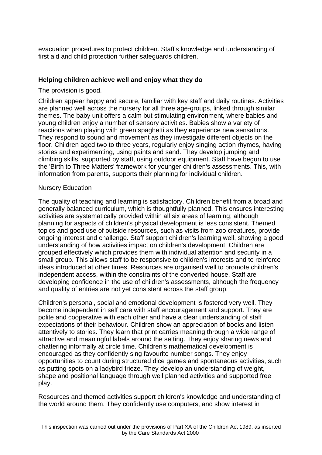evacuation procedures to protect children. Staff's knowledge and understanding of first aid and child protection further safeguards children.

## **Helping children achieve well and enjoy what they do**

The provision is good.

Children appear happy and secure, familiar with key staff and daily routines. Activities are planned well across the nursery for all three age-groups, linked through similar themes. The baby unit offers a calm but stimulating environment, where babies and young children enjoy a number of sensory activities. Babies show a variety of reactions when playing with green spaghetti as they experience new sensations. They respond to sound and movement as they investigate different objects on the floor. Children aged two to three years, regularly enjoy singing action rhymes, having stories and experimenting, using paints and sand. They develop jumping and climbing skills, supported by staff, using outdoor equipment. Staff have begun to use the 'Birth to Three Matters' framework for younger children's assessments. This, with information from parents, supports their planning for individual children.

#### Nursery Education

The quality of teaching and learning is satisfactory. Children benefit from a broad and generally balanced curriculum, which is thoughtfully planned. This ensures interesting activities are systematically provided within all six areas of learning; although planning for aspects of children's physical development is less consistent. Themed topics and good use of outside resources, such as visits from zoo creatures, provide ongoing interest and challenge. Staff support children's learning well, showing a good understanding of how activities impact on children's development. Children are grouped effectively which provides them with individual attention and security in a small group. This allows staff to be responsive to children's interests and to reinforce ideas introduced at other times. Resources are organised well to promote children's independent access, within the constraints of the converted house. Staff are developing confidence in the use of children's assessments, although the frequency and quality of entries are not yet consistent across the staff group.

Children's personal, social and emotional development is fostered very well. They become independent in self care with staff encouragement and support. They are polite and cooperative with each other and have a clear understanding of staff expectations of their behaviour. Children show an appreciation of books and listen attentively to stories. They learn that print carries meaning through a wide range of attractive and meaningful labels around the setting. They enjoy sharing news and chattering informally at circle time. Children's mathematical development is encouraged as they confidently sing favourite number songs. They enjoy opportunities to count during structured dice games and spontaneous activities, such as putting spots on a ladybird frieze. They develop an understanding of weight, shape and positional language through well planned activities and supported free play.

Resources and themed activities support children's knowledge and understanding of the world around them. They confidently use computers, and show interest in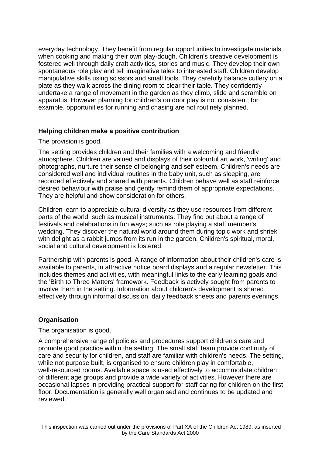everyday technology. They benefit from regular opportunities to investigate materials when cooking and making their own play-dough. Children's creative development is fostered well through daily craft activities, stories and music. They develop their own spontaneous role play and tell imaginative tales to interested staff. Children develop manipulative skills using scissors and small tools. They carefully balance cutlery on a plate as they walk across the dining room to clear their table. They confidently undertake a range of movement in the garden as they climb, slide and scramble on apparatus. However planning for children's outdoor play is not consistent; for example, opportunities for running and chasing are not routinely planned.

#### **Helping children make a positive contribution**

The provision is good.

The setting provides children and their families with a welcoming and friendly atmosphere. Children are valued and displays of their colourful art work, 'writing' and photographs, nurture their sense of belonging and self esteem. Children's needs are considered well and individual routines in the baby unit, such as sleeping, are recorded effectively and shared with parents. Children behave well as staff reinforce desired behaviour with praise and gently remind them of appropriate expectations. They are helpful and show consideration for others.

Children learn to appreciate cultural diversity as they use resources from different parts of the world, such as musical instruments. They find out about a range of festivals and celebrations in fun ways; such as role playing a staff member's wedding. They discover the natural world around them during topic work and shriek with delight as a rabbit jumps from its run in the garden. Children's spiritual, moral, social and cultural development is fostered.

Partnership with parents is good. A range of information about their children's care is available to parents, in attractive notice board displays and a regular newsletter. This includes themes and activities, with meaningful links to the early learning goals and the 'Birth to Three Matters' framework. Feedback is actively sought from parents to involve them in the setting. Information about children's development is shared effectively through informal discussion, daily feedback sheets and parents evenings.

## **Organisation**

#### The organisation is good.

A comprehensive range of policies and procedures support children's care and promote good practice within the setting. The small staff team provide continuity of care and security for children, and staff are familiar with children's needs. The setting, while not purpose built, is organised to ensure children play in comfortable, well-resourced rooms. Available space is used effectively to accommodate children of different age groups and provide a wide variety of activities. However there are occasional lapses in providing practical support for staff caring for children on the first floor. Documentation is generally well organised and continues to be updated and reviewed.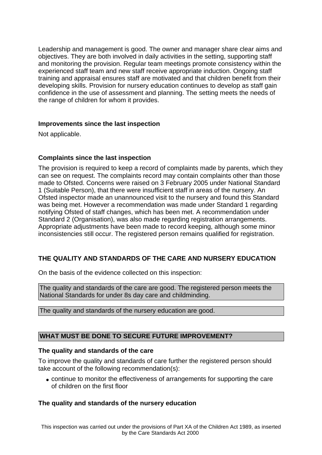Leadership and management is good. The owner and manager share clear aims and objectives. They are both involved in daily activities in the setting, supporting staff and monitoring the provision. Regular team meetings promote consistency within the experienced staff team and new staff receive appropriate induction. Ongoing staff training and appraisal ensures staff are motivated and that children benefit from their developing skills. Provision for nursery education continues to develop as staff gain confidence in the use of assessment and planning. The setting meets the needs of the range of children for whom it provides.

## **Improvements since the last inspection**

Not applicable.

## **Complaints since the last inspection**

The provision is required to keep a record of complaints made by parents, which they can see on request. The complaints record may contain complaints other than those made to Ofsted. Concerns were raised on 3 February 2005 under National Standard 1 (Suitable Person), that there were insufficient staff in areas of the nursery. An Ofsted inspector made an unannounced visit to the nursery and found this Standard was being met. However a recommendation was made under Standard 1 regarding notifying Ofsted of staff changes, which has been met. A recommendation under Standard 2 (Organisation), was also made regarding registration arrangements. Appropriate adjustments have been made to record keeping, although some minor inconsistencies still occur. The registered person remains qualified for registration.

# **THE QUALITY AND STANDARDS OF THE CARE AND NURSERY EDUCATION**

On the basis of the evidence collected on this inspection:

The quality and standards of the care are good. The registered person meets the National Standards for under 8s day care and childminding.

The quality and standards of the nursery education are good.

## **WHAT MUST BE DONE TO SECURE FUTURE IMPROVEMENT?**

#### **The quality and standards of the care**

To improve the quality and standards of care further the registered person should take account of the following recommendation(s):

• continue to monitor the effectiveness of arrangements for supporting the care of children on the first floor

## **The quality and standards of the nursery education**